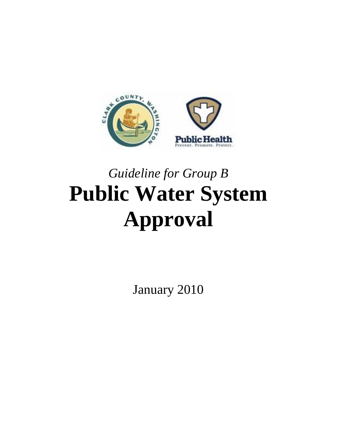

### *Guideline for Group B*  **Public Water System Approval**

January 2010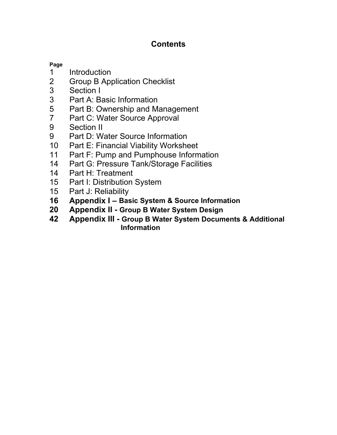### **Contents**

#### **Page**

- 1 Introduction<br>2 Group B Apr
- 2 Group B Application Checklist<br>3 Section I
- 3 Section I<br>3 Part A: B
- 3 Part A: Basic Information<br>5 Part B: Ownership and M
- Part B: Ownership and Management
- 7 Part C: Water Source Approval<br>9 Section II
- Section II
- 9 Part D: Water Source Information
- 10 Part E: Financial Viability Worksheet
- 11 Part F: Pump and Pumphouse Information
- 14 Part G: Pressure Tank/Storage Facilities
- 14 Part H: Treatment<br>15 Part I: Distribution
- 15 Part I: Distribution System<br>15 Part J: Reliability
- Part J: Reliability
- **16 Appendix I Basic System & Source Information**
- **20 Appendix II Group B Water System Design**
- **42 Appendix III Group B Water System Documents & Additional Information**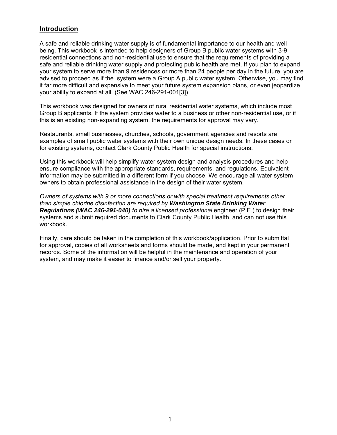#### **Introduction**

A safe and reliable drinking water supply is of fundamental importance to our health and well being. This workbook is intended to help designers of Group B public water systems with 3-9 residential connections and non-residential use to ensure that the requirements of providing a safe and reliable drinking water supply and protecting public health are met. If you plan to expand your system to serve more than 9 residences or more than 24 people per day in the future, you are advised to proceed as if the system were a Group A public water system. Otherwise, you may find it far more difficult and expensive to meet your future system expansion plans, or even jeopardize your ability to expand at all. (See WAC 246-291-001[3])

This workbook was designed for owners of rural residential water systems, which include most Group B applicants. If the system provides water to a business or other non-residential use, or if this is an existing non-expanding system, the requirements for approval may vary.

Restaurants, small businesses, churches, schools, government agencies and resorts are examples of small public water systems with their own unique design needs. In these cases or for existing systems, contact Clark County Public Health for special instructions.

Using this workbook will help simplify water system design and analysis procedures and help ensure compliance with the appropriate standards, requirements, and regulations. Equivalent information may be submitted in a different form if you choose. We encourage all water system owners to obtain professional assistance in the design of their water system.

*Owners of systems with 9 or more connections or with special treatment requirements other than simple chlorine disinfection are required by Washington State Drinking Water Regulations (WAC 246-291-040) to hire a licensed professional* engineer (P.E.) to design their systems and submit required documents to Clark County Public Health, and can not use this workbook.

Finally, care should be taken in the completion of this workbook/application. Prior to submittal for approval, copies of all worksheets and forms should be made, and kept in your permanent records. Some of the information will be helpful in the maintenance and operation of your system, and may make it easier to finance and/or sell your property.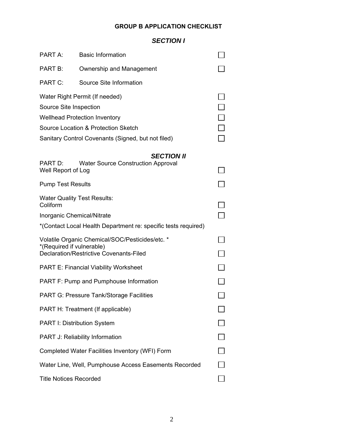#### **GROUP B APPLICATION CHECKLIST**

#### *SECTION I*

| PART A:                                                                      | <b>Basic Information</b>                                       |  |  |  |
|------------------------------------------------------------------------------|----------------------------------------------------------------|--|--|--|
| PART B:                                                                      | Ownership and Management                                       |  |  |  |
| PART C:                                                                      | Source Site Information                                        |  |  |  |
|                                                                              | Water Right Permit (If needed)                                 |  |  |  |
| Source Site Inspection                                                       |                                                                |  |  |  |
| <b>Wellhead Protection Inventory</b>                                         |                                                                |  |  |  |
|                                                                              | Source Location & Protection Sketch                            |  |  |  |
|                                                                              | Sanitary Control Covenants (Signed, but not filed)             |  |  |  |
|                                                                              | <b>SECTION II</b>                                              |  |  |  |
| PART D:<br>Well Report of Log                                                | <b>Water Source Construction Approval</b>                      |  |  |  |
| <b>Pump Test Results</b>                                                     |                                                                |  |  |  |
| Coliform                                                                     | <b>Water Quality Test Results:</b>                             |  |  |  |
| Inorganic Chemical/Nitrate                                                   |                                                                |  |  |  |
|                                                                              | *(Contact Local Health Department re: specific tests required) |  |  |  |
| Volatile Organic Chemical/SOC/Pesticides/etc. *<br>*(Required if vulnerable) |                                                                |  |  |  |
| Declaration/Restrictive Covenants-Filed                                      |                                                                |  |  |  |
| <b>PART E: Financial Viability Worksheet</b>                                 |                                                                |  |  |  |
| <b>PART F: Pump and Pumphouse Information</b>                                |                                                                |  |  |  |
| PART G: Pressure Tank/Storage Facilities                                     |                                                                |  |  |  |
| PART H: Treatment (If applicable)                                            |                                                                |  |  |  |
| PART I: Distribution System                                                  |                                                                |  |  |  |
| PART J: Reliability Information                                              |                                                                |  |  |  |
| Completed Water Facilities Inventory (WFI) Form                              |                                                                |  |  |  |
| Water Line, Well, Pumphouse Access Easements Recorded                        |                                                                |  |  |  |
| <b>Title Notices Recorded</b>                                                |                                                                |  |  |  |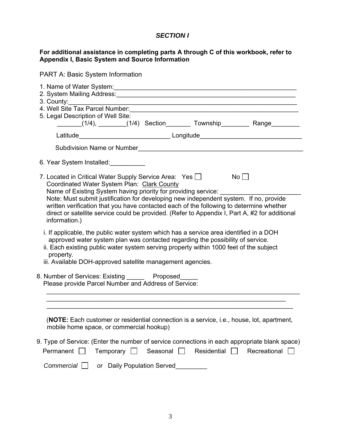#### *SECTION I*

#### **For additional assistance in completing parts A through C of this workbook, refer to Appendix I, Basic System and Source Information**

| <b>PART A: Basic System Information</b>                                                                                                                                                                                                                                                                                                                                                                                                                                             |
|-------------------------------------------------------------------------------------------------------------------------------------------------------------------------------------------------------------------------------------------------------------------------------------------------------------------------------------------------------------------------------------------------------------------------------------------------------------------------------------|
| 2. System Mailing Address: Marian Communication of the Communication of the Communication of the Communication<br>4. Well Site Tax Parcel Number:<br>5. Legal Description of Well Site:<br>_______(1/4), ________(1/4) Section________ Township_________ Range_________                                                                                                                                                                                                             |
|                                                                                                                                                                                                                                                                                                                                                                                                                                                                                     |
|                                                                                                                                                                                                                                                                                                                                                                                                                                                                                     |
| 6. Year System Installed:                                                                                                                                                                                                                                                                                                                                                                                                                                                           |
| 7. Located in Critical Water Supply Service Area: Yes<br>No<br>Coordinated Water System Plan: Clark County<br>Name of Existing System having priority for providing service:<br>Note: Must submit justification for developing new independent system. If no, provide<br>written verification that you have contacted each of the following to determine whether<br>direct or satellite service could be provided. (Refer to Appendix I, Part A, #2 for additional<br>information.) |
| i. If applicable, the public water system which has a service area identified in a DOH<br>approved water system plan was contacted regarding the possibility of service.<br>ii. Each existing public water system serving property within 1000 feet of the subject<br>property.<br>iii. Available DOH-approved satellite management agencies.                                                                                                                                       |
| 8. Number of Services: Existing _______ Proposed_____<br>Please provide Parcel Number and Address of Service:                                                                                                                                                                                                                                                                                                                                                                       |
|                                                                                                                                                                                                                                                                                                                                                                                                                                                                                     |
| (NOTE: Each customer or residential connection is a service, i.e., house, lot, apartment,<br>mobile home space, or commercial hookup)                                                                                                                                                                                                                                                                                                                                               |
| 9. Type of Service: (Enter the number of service connections in each appropriate blank space)<br>Residential<br>Recreational<br>Permanent<br>Temporary<br>Seasonal                                                                                                                                                                                                                                                                                                                  |
| <b>Commercial</b><br>or Daily Population Served                                                                                                                                                                                                                                                                                                                                                                                                                                     |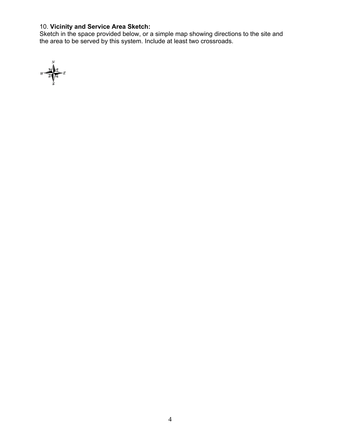#### 10. **Vicinity and Service Area Sketch:**

Sketch in the space provided below, or a simple map showing directions to the site and the area to be served by this system. Include at least two crossroads.

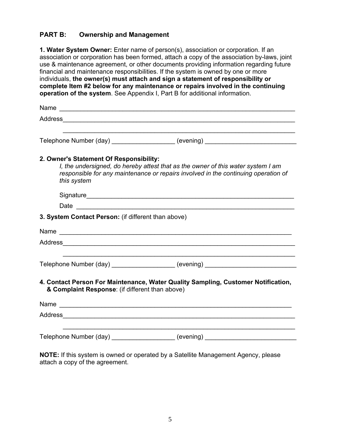#### **PART B: Ownership and Management**

**1. Water System Owner:** Enter name of person(s), association or corporation. If an association or corporation has been formed, attach a copy of the association by-laws, joint use & maintenance agreement, or other documents providing information regarding future financial and maintenance responsibilities. If the system is owned by one or more individuals, **the owner(s) must attach and sign a statement of responsibility or complete Item #2 below for any maintenance or repairs involved in the continuing operation of the system**. See Appendix I, Part B for additional information.

| Name                                                   |                                                                                                                                                                        |
|--------------------------------------------------------|------------------------------------------------------------------------------------------------------------------------------------------------------------------------|
|                                                        |                                                                                                                                                                        |
|                                                        | Telephone Number (day) ____________________ (evening) __________________________                                                                                       |
| 2. Owner's Statement Of Responsibility:<br>this system | I, the undersigned, do hereby attest that as the owner of this water system I am<br>responsible for any maintenance or repairs involved in the continuing operation of |
|                                                        |                                                                                                                                                                        |
|                                                        |                                                                                                                                                                        |
| 3. System Contact Person: (if different than above)    |                                                                                                                                                                        |
|                                                        |                                                                                                                                                                        |
|                                                        |                                                                                                                                                                        |
|                                                        | Telephone Number (day) ___________________ (evening) ___________________________                                                                                       |
| & Complaint Response: (if different than above)        | 4. Contact Person For Maintenance, Water Quality Sampling, Customer Notification,                                                                                      |
|                                                        | Name                                                                                                                                                                   |
|                                                        |                                                                                                                                                                        |
|                                                        | Telephone Number (day) ____________________ (evening) __________________________                                                                                       |

**NOTE:** If this system is owned or operated by a Satellite Management Agency, please attach a copy of the agreement.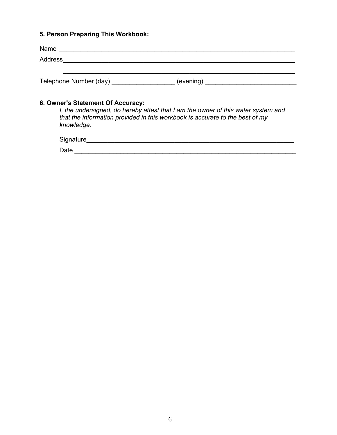#### **5. Person Preparing This Workbook:**

| Name                   |           |  |
|------------------------|-----------|--|
| Address                |           |  |
|                        |           |  |
| Telephone Number (day) | (evening) |  |

#### **6. Owner's Statement Of Accuracy:**

 *I, the undersigned, do hereby attest that I am the owner of this water system and that the information provided in this workbook is accurate to the best of my knowledge.* 

Signature\_\_\_\_\_\_\_\_\_\_\_\_\_\_\_\_\_\_\_\_\_\_\_\_\_\_\_\_\_\_\_\_\_\_\_\_\_\_\_\_\_\_\_\_\_\_\_\_\_\_\_\_\_\_\_\_\_\_\_ Date \_\_\_\_\_\_\_\_\_\_\_\_\_\_\_\_\_\_\_\_\_\_\_\_\_\_\_\_\_\_\_\_\_\_\_\_\_\_\_\_\_\_\_\_\_\_\_\_\_\_\_\_\_\_\_\_\_\_\_\_\_\_\_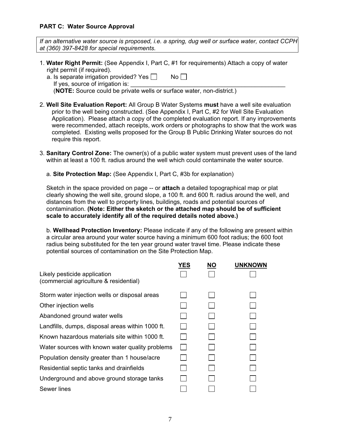#### **PART C: Water Source Approval**

*If an alternative water source is proposed, i.e. a spring, dug well or surface water, contact CCPH at (360) 397-8428 for special requirements.* 

- 1. **Water Right Permit:** (See Appendix I, Part C, #1 for requirements) Attach a copy of water right permit (if required).
	- a. Is separate irrigation provided? Yes  $\Box$  No  $\Box$ 
		- If yes, source of irrigation is:

(**NOTE:** Source could be private wells or surface water, non-district.)

- 2. **Well Site Evaluation Report:** All Group B Water Systems **must** have a well site evaluation prior to the well being constructed. (See Appendix I, Part C, #2 for Well Site Evaluation Application). Please attach a copy of the completed evaluation report. If any improvements were recommended, attach receipts, work orders or photographs to show that the work was completed. Existing wells proposed for the Group B Public Drinking Water sources do not require this report.
- 3. **Sanitary Control Zone:** The owner(s) of a public water system must prevent uses of the land within at least a 100 ft. radius around the well which could contaminate the water source.
	- a. **Site Protection Map:** (See Appendix I, Part C, #3b for explanation)

 Sketch in the space provided on page -- or **attach** a detailed topographical map or plat clearly showing the well site, ground slope, a 100 ft. and 600 ft. radius around the well, and distances from the well to property lines, buildings, roads and potential sources of contamination. **(Note: Either the sketch or the attached map should be of sufficient scale to accurately identify all of the required details noted above.)** 

 b. **Wellhead Protection Inventory:** Please indicate if any of the following are present within a circular area around your water source having a minimum 600 foot radius; the 600 foot radius being substituted for the ten year ground water travel time. Please indicate these potential sources of contamination on the Site Protection Map.

|                                                                        | YES | <b>NO</b> | <b>UNKNOWN</b> |
|------------------------------------------------------------------------|-----|-----------|----------------|
| Likely pesticide application<br>(commercial agriculture & residential) |     |           |                |
| Storm water injection wells or disposal areas                          |     |           |                |
| Other injection wells                                                  |     |           |                |
| Abandoned ground water wells                                           |     |           |                |
| Landfills, dumps, disposal areas within 1000 ft.                       |     |           |                |
| Known hazardous materials site within 1000 ft.                         |     |           |                |
| Water sources with known water quality problems                        |     |           |                |
| Population density greater than 1 house/acre                           |     |           |                |
| Residential septic tanks and drainfields                               |     |           |                |
| Underground and above ground storage tanks                             |     |           |                |
| Sewer lines                                                            |     |           |                |
|                                                                        |     |           |                |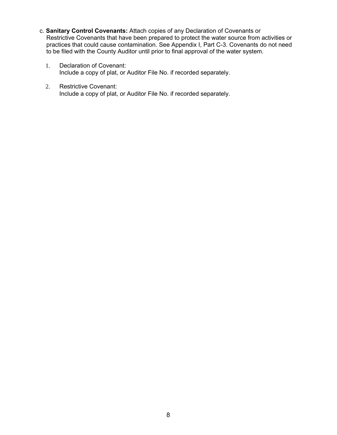- c. **Sanitary Control Covenants:** Attach copies of any Declaration of Covenants or Restrictive Covenants that have been prepared to protect the water source from activities or practices that could cause contamination. See Appendix I, Part C-3. Covenants do not need to be filed with the County Auditor until prior to final approval of the water system.
	- 1. Declaration of Covenant: Include a copy of plat, or Auditor File No. if recorded separately.
	- 2. Restrictive Covenant: Include a copy of plat, or Auditor File No. if recorded separately.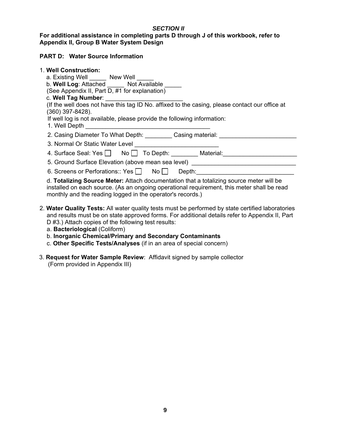#### *SECTION II*

#### **For additional assistance in completing parts D through J of this workbook, refer to Appendix II, Group B Water System Design**

#### **PART D: Water Source Information**

| 1. Well Construction:                                                                            |
|--------------------------------------------------------------------------------------------------|
| a. Existing Well New Well                                                                        |
| b. Well Log: Attached Not Available                                                              |
| (See Appendix II, Part D, #1 for explanation)                                                    |
| c. Well Tag Number: ____________________________                                                 |
| (If the well does not have this tag ID No. affixed to the casing, please contact our office at   |
| (360) 397-8428).                                                                                 |
| If well log is not available, please provide the following information:                          |
|                                                                                                  |
| 2. Casing Diameter To What Depth: Casing material: Casing the Diameter of Allen Casing material: |
|                                                                                                  |
| 4. Surface Seal: Yes No T To Depth: Material:                                                    |
| 5. Ground Surface Elevation (above mean sea level) _____________________________                 |
| 6. Screens or Perforations:: Yes No<br>Depth: <u>_____________________</u>                       |
| d. Totalizing Source Meter: Attach documentation that a totalizing source meter will be          |

 d. **Totalizing Source Meter:** Attach documentation that a totalizing source meter will be installed on each source. (As an ongoing operational requirement, this meter shall be read monthly and the reading logged in the operator's records.)

- 2. **Water Quality Tests:** All water quality tests must be performed by state certified laboratories and results must be on state approved forms. For additional details refer to Appendix II, Part D #3.) Attach copies of the following test results:
	- a. **Bacteriological** (Coliform)
	- b. **Inorganic Chemical/Primary and Secondary Contaminants**
	- c. **Other Specific Tests/Analyses** (if in an area of special concern)
- 3. **Request for Water Sample Review**: Affidavit signed by sample collector (Form provided in Appendix III)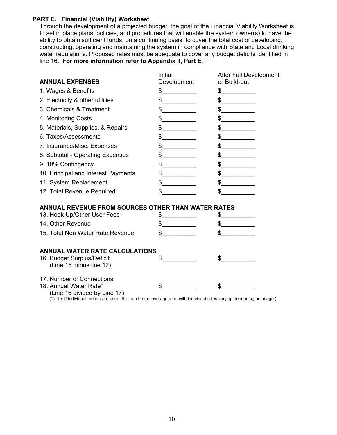#### **PART E. Financial (Viability) Worksheet**

Through the development of a projected budget, the goal of the Financial Viability Worksheet is to set in place plans, policies, and procedures that will enable the system owner(s) to have the ability to obtain sufficient funds, on a continuing basis, to cover the total cost of developing, constructing, operating and maintaining the system in compliance with State and Local drinking water regulations. Proposed rates must be adequate to cover any budget deficits identified in line 16. **For more information refer to Appendix II, Part E.** 

| <b>ANNUAL EXPENSES</b>                                                                                                                                  | Initial<br>Development | After Full Development<br>or Build-out |
|---------------------------------------------------------------------------------------------------------------------------------------------------------|------------------------|----------------------------------------|
| 1. Wages & Benefits                                                                                                                                     | \$                     | \$<br><u> 1980 - Andrea Sta</u>        |
| 2. Electricity & other utilities                                                                                                                        | $\frac{1}{2}$          | $\frac{1}{2}$                          |
| 3. Chemicals & Treatment                                                                                                                                | $\frac{1}{2}$          | $\frac{1}{2}$                          |
| 4. Monitoring Costs                                                                                                                                     | $\frac{1}{2}$          | $\frac{1}{2}$                          |
| 5. Materials, Supplies, & Repairs                                                                                                                       | $\frac{1}{2}$          | $\frac{1}{2}$                          |
| 6. Taxes/Assessments                                                                                                                                    | $\frac{1}{2}$          | $\frac{1}{2}$                          |
| 7. Insurance/Misc. Expenses                                                                                                                             | $\frac{1}{2}$          | $\frac{1}{2}$                          |
| 8. Subtotal - Operating Expenses                                                                                                                        | $\frac{1}{2}$          | $\frac{1}{2}$                          |
| 9. 10% Contingency                                                                                                                                      | $\frac{1}{2}$          | \$                                     |
| 10. Principal and Interest Payments                                                                                                                     | $\frac{1}{2}$          | $\frac{1}{2}$                          |
| 11. System Replacement                                                                                                                                  | $\frac{1}{2}$          | $\frac{1}{2}$                          |
| 12. Total Revenue Required                                                                                                                              | \$                     | \$                                     |
| <b>ANNUAL REVENUE FROM SOURCES OTHER THAN WATER RATES</b>                                                                                               |                        |                                        |
| 13. Hook Up/Other User Fees                                                                                                                             | $\frac{1}{2}$          | $\frac{1}{2}$                          |
| 14. Other Revenue                                                                                                                                       | $\frac{1}{2}$          | $\frac{1}{2}$                          |
| 15. Total Non Water Rate Revenue                                                                                                                        | $\frac{1}{\sqrt{2}}$   | $\sim$                                 |
| <b>ANNUAL WATER RATE CALCULATIONS</b>                                                                                                                   |                        |                                        |
| 16. Budget Surplus/Deficit<br>(Line 15 minus line 12)                                                                                                   | \$                     | \$.                                    |
| 17. Number of Connections<br>18. Annual Water Rate*                                                                                                     |                        | \$                                     |
| (Line 16 divided by Line 17)<br>(*Note: If individual meters are used, this can be the average rate, with individual rates varying depending on usage.) |                        |                                        |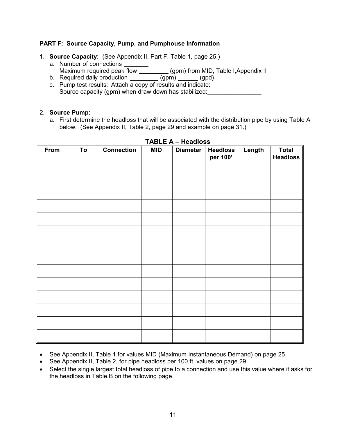#### **PART F: Source Capacity, Pump, and Pumphouse Information**

- 1. **Source Capacity:** (See Appendix II, Part F, Table 1, page 25.)
	- a. Number of connections Maximum required peak flow \_\_\_\_\_\_\_\_\_\_\_ (gpm) from MID, Table I,Appendix II
	- b. Required daily production \_\_\_\_\_\_\_\_\_ (gpm) \_\_\_\_\_ (gpd)
	- c. Pump test results: Attach a copy of results and indicate: Source capacity (gpm) when draw down has stabilized:

#### 2. **Source Pump:**

a. First determine the headloss that will be associated with the distribution pipe by using Table A below. (See Appendix II, Table 2, page 29 and example on page 31.)

| From | To | <b>Connection</b> | <b>MID</b> | <b>Diameter</b> | <b>Headloss</b><br>per 100' | Length | <b>Total</b><br><b>Headloss</b> |
|------|----|-------------------|------------|-----------------|-----------------------------|--------|---------------------------------|
|      |    |                   |            |                 |                             |        |                                 |
|      |    |                   |            |                 |                             |        |                                 |
|      |    |                   |            |                 |                             |        |                                 |
|      |    |                   |            |                 |                             |        |                                 |
|      |    |                   |            |                 |                             |        |                                 |
|      |    |                   |            |                 |                             |        |                                 |
|      |    |                   |            |                 |                             |        |                                 |
|      |    |                   |            |                 |                             |        |                                 |
|      |    |                   |            |                 |                             |        |                                 |
|      |    |                   |            |                 |                             |        |                                 |
|      |    |                   |            |                 |                             |        |                                 |
|      |    |                   |            |                 |                             |        |                                 |
|      |    |                   |            |                 |                             |        |                                 |
|      |    |                   |            |                 |                             |        |                                 |

#### **TABLE A – Headloss**

- See Appendix II, Table 1 for values MID (Maximum Instantaneous Demand) on page 25.
- See Appendix II, Table 2, for pipe headloss per 100 ft. values on page 29.
- Select the single largest total headloss of pipe to a connection and use this value where it asks for the headloss in Table B on the following page.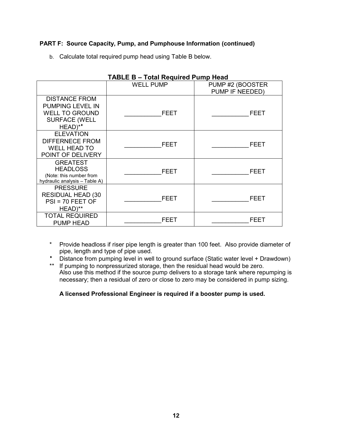#### **PART F: Source Capacity, Pump, and Pumphouse Information (continued)**

b. Calculate total required pump head using Table B below.

| <b>TABLE B – Total Required Pump Head</b>                                                            |                  |                  |  |  |  |
|------------------------------------------------------------------------------------------------------|------------------|------------------|--|--|--|
|                                                                                                      | <b>WELL PUMP</b> | PUMP #2 (BOOSTER |  |  |  |
|                                                                                                      |                  | PUMP IF NEEDED)  |  |  |  |
| <b>DISTANCE FROM</b><br>PUMPING LEVEL IN<br><b>WELL TO GROUND</b><br><b>SURFACE (WELL</b><br>HEAD)** | <b>FEET</b>      | FEET             |  |  |  |
| <b>ELEVATION</b><br><b>DIFFERNECE FROM</b><br><b>WELL HEAD TO</b><br>POINT OF DELIVERY               | <b>FEET</b>      | FEET             |  |  |  |
| <b>GREATEST</b><br><b>HEADLOSS</b><br>(Note: this number from<br>hydraulic analysis - Table A)       | FEET             | FEET             |  |  |  |
| <b>PRESSURE</b><br><b>RESIDUAL HEAD (30</b><br>$PSI = 70$ FEET OF<br>HEAD)**                         | FEET             | FEET             |  |  |  |
| <b>TOTAL REQUIRED</b><br>PUMP HEAD                                                                   | FEET             | FEET             |  |  |  |

- \* Provide headloss if riser pipe length is greater than 100 feet. Also provide diameter of pipe, length and type of pipe used.
- Distance from pumping level in well to ground surface (Static water level + Drawdown)
- \*\* If pumping to nonpressurized storage, then the residual head would be zero. Also use this method if the source pump delivers to a storage tank where repumping is necessary; then a residual of zero or close to zero may be considered in pump sizing.

#### **A licensed Professional Engineer is required if a booster pump is used.**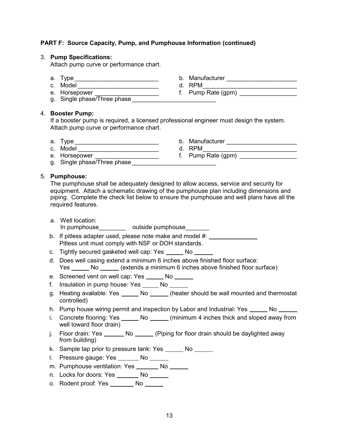#### **PART F: Source Capacity, Pump, and Pumphouse Information (continued)**

#### 3. **Pump Specifications:**

Attach pump curve or performance chart.

- a. Type \_\_\_\_\_\_\_\_\_\_\_\_\_\_\_\_\_\_\_\_\_\_\_\_\_\_\_\_\_\_\_\_\_\_ b. Manufacturer \_\_\_\_\_\_\_\_\_\_\_\_\_\_\_\_\_\_\_\_\_
- c. Model \_\_\_\_\_\_\_\_\_\_\_\_\_\_\_\_\_\_\_\_\_\_\_\_ d. RPM\_\_\_\_\_\_\_\_\_\_\_\_\_\_\_\_\_\_\_\_\_\_\_\_\_\_\_\_
- 
- g. Single phase/Three phase

#### 4. **Booster Pump:**

If a booster pump is required, a licensed professional engineer must design the system. Attach pump curve or performance chart.

- 
- c. Model \_\_\_\_\_\_\_\_\_\_\_\_\_\_\_\_\_\_\_\_\_\_\_\_ d. RPM\_\_\_\_\_\_\_\_\_\_\_\_\_\_\_\_\_\_\_\_\_\_\_\_\_\_\_\_
- e. Horsepower \_\_\_\_\_\_\_\_\_\_\_\_\_\_\_\_\_\_\_\_\_\_\_ f. Pump Rate (gpm) \_\_\_\_\_\_\_\_\_\_\_\_\_
- g. Single phase/Three phase

#### 5. **Pumphouse:**

The pumphouse shall be adequately designed to allow access, service and security for equipment. Attach a schematic drawing of the pumphouse plan including dimensions and piping. Complete the check list below to ensure the pumphouse and well plans have all the required features.

- a. Well location: In pumphouse example outside pumphouse
- b. If pitless adapter used, please note make and model #: Pitless unit must comply with NSF or DOH standards.
- c. Tightly secured gasketed well cap: Yes \_\_\_\_\_ No \_\_\_\_\_
- d. Does well casing extend a minimum 6 inches above finished floor surface: Yes \_\_\_\_\_\_\_ No \_\_\_\_\_\_\_ (extends a minimum 6 inches above finished floor surface)
- e. Screened vent on well cap: Yes \_\_\_\_\_ No \_\_\_\_\_
- f. Insulation in pump house: Yes \_\_\_\_\_\_ No
- g. Heating available: Yes No (heater should be wall mounted and thermostat controlled)
- h. Pump house wiring permit and inspection by Labor and Industrial: Yes \_\_\_\_\_\_ No \_\_\_\_\_\_
- i. Concrete flooring: Yes \_\_\_\_\_\_ No \_\_\_\_\_\_ (minimum 4 inches thick and sloped away from well toward floor drain)
- j. Floor drain: Yes \_\_\_\_\_\_ No \_\_\_\_\_ (Piping for floor drain should be daylighted away from building)
- k. Sample tap prior to pressure tank: Yes No
- l. Pressure gauge: Yes \_\_\_\_\_\_\_ No \_\_\_\_\_\_
- m. Pumphouse ventilation: Yes \_\_\_\_\_\_\_ No \_\_\_\_\_\_
- n. Locks for doors: Yes \_\_\_\_\_\_\_ No \_\_\_\_\_\_
- o. Rodent proof: Yes No
- 
- 
- e. Horsepower \_\_\_\_\_\_\_\_\_\_\_\_\_\_\_\_\_\_\_\_\_\_\_\_ f. Pump Rate (gpm) \_\_\_\_\_\_\_\_\_\_\_\_\_\_\_\_\_\_\_\_\_\_

- a. Type\_\_\_\_\_\_\_\_\_\_\_\_\_\_\_\_\_\_\_\_\_\_\_\_\_ b. Manufacturer \_\_\_\_\_\_\_\_\_\_\_\_\_\_\_\_\_\_\_\_\_
	-
	-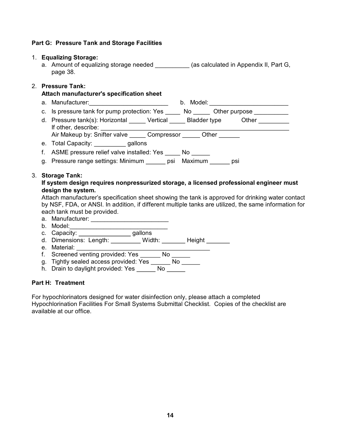# **Part G: Pressure Tank and Storage Facilities** 1. **Equalizing Storage:**

1. **Equalizing Storage:**<br>a. Amount of equalizing storage needed \_\_\_\_\_\_\_\_\_\_ (as calculated in Appendix II, Part G, page 38.

#### 2. **Pressure Tank:**

#### **Attach manufacturer's specification sheet**

- a. Manufacturer:\_\_\_\_\_\_\_\_\_\_\_\_\_\_\_\_\_\_\_\_\_\_\_ b. Model: \_\_\_\_\_\_\_\_\_\_\_\_\_\_\_\_\_\_\_\_\_\_\_
- c. Is pressure tank for pump protection: Yes No Other purpose \_\_\_\_\_\_\_\_\_\_
- d. Pressure tank(s): Horizontal Vertical Bladder type Other If other*,* describe: Air Makeup by: Snifter valve \_\_\_\_\_ Compressor \_\_\_\_\_ Other \_ If other, describe:<br>Air Makeup by: Snifter valve \_\_\_\_\_ Co<br>e. Total Capacity: \_\_\_\_\_\_\_\_ gallons
- 
- e. Total Capacity: \_\_\_\_\_\_\_\_\_\_\_ gallons<br>f. ASME pressure relief valve installed: Yes No
- e. Total Capacity. \_\_\_\_\_\_\_\_\_\_\_\_\_ gallotis<br>f. ASME pressure relief valve installed: Yes \_\_\_\_\_ No \_\_\_\_\_\_\_<br>g. Pressure range settings: Minimum \_\_\_\_\_\_ psi Maximum \_\_\_\_\_\_ psi

## g. Pressure rang<br>3. **Storage Tank:**<br>**If** system dosian

#### **If system design requires nonpressurized storage, a licensed professional engineer must design the system.**

Attach manufacturer's specification sheet showing the tank is approved for drinking water contact by NSF, FDA, or ANSI. In addition, if different multiple tanks are utilized, the same information for a. Manufacturer: \_\_\_\_\_\_\_\_\_\_\_\_\_\_\_\_\_\_\_\_\_\_\_ each tank must be provided.

- b. Model:\_\_\_\_\_\_\_\_\_\_\_\_\_\_\_\_\_\_\_\_\_\_\_\_\_\_\_\_\_
- 
- c. Capacity: gallons
- d. Dimensions: Length: Width: Height c. Capacity:<br>d. Dimensions<br>e. Material:<br>f. Screened w
- 
- f. Screened venting provided: Yes No e. Material:<br>f. Screened venting provided: Yes \_\_\_\_\_\_ No \_\_\_<br>g. Tightly sealed access provided: Yes \_\_\_\_\_\_ No \_\_<br>b. Drain to davlight provided: Yes \_\_\_\_\_ No \_\_
- f. Screened venting provided: Yes \_\_\_\_\_\_ No \_<br>g. Tightly sealed access provided: Yes \_\_\_\_\_\_ No<br>h. Drain to daylight provided: Yes \_\_\_\_\_\_ No \_\_\_
- 

## **Part H: Treatment**

For hypochlorinators designed for water disinfection only, please attach a completed For hypochlorinators designed for water disinfection only, please attach a completed<br>Hypochlorination Facilities For Small Systems Submittal Checklist. Copies of the checklist are<br>available at our office available at our office.